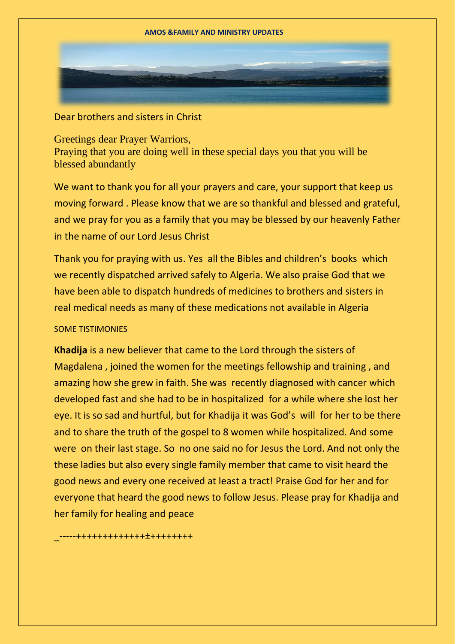Dear brothers and sisters in Christ

Greetings dear Prayer Warriors, Praying that you are doing well in these special days you that you will be blessed abundantly

We want to thank you for all your prayers and care, your support that keep us moving forward . Please know that we are so thankful and blessed and grateful, and we pray for you as a family that you may be blessed by our heavenly Father in the name of our Lord Jesus Christ

Thank you for praying with us. Yes all the Bibles and children's books which we recently dispatched arrived safely to Algeria. We also praise God that we have been able to dispatch hundreds of medicines to brothers and sisters in real medical needs as many of these medications not available in Algeria

## SOME TISTIMONIES

**Khadija** is a new believer that came to the Lord through the sisters of Magdalena , joined the women for the meetings fellowship and training , and amazing how she grew in faith. She was recently diagnosed with cancer which developed fast and she had to be in hospitalized for a while where she lost her eye. It is so sad and hurtful, but for Khadija it was God's will for her to be there and to share the truth of the gospel to 8 women while hospitalized. And some were on their last stage. So no one said no for Jesus the Lord. And not only the these ladies but also every single family member that came to visit heard the good news and every one received at least a tract! Praise God for her and for everyone that heard the good news to follow Jesus. Please pray for Khadija and her family for healing and peace

\_-----+++++++++++++±++++++++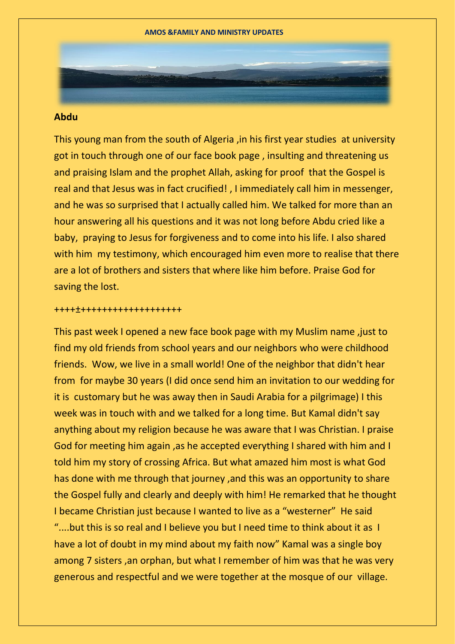## **Abdu**

This young man from the south of Algeria ,in his first year studies at university got in touch through one of our face book page , insulting and threatening us and praising Islam and the prophet Allah, asking for proof that the Gospel is real and that Jesus was in fact crucified! , I immediately call him in messenger, and he was so surprised that I actually called him. We talked for more than an hour answering all his questions and it was not long before Abdu cried like a baby, praying to Jesus for forgiveness and to come into his life. I also shared with him my testimony, which encouraged him even more to realise that there are a lot of brothers and sisters that where like him before. Praise God for saving the lost.

## ++++±+++++++++++++++++++

This past week I opened a new face book page with my Muslim name ,just to find my old friends from school years and our neighbors who were childhood friends. Wow, we live in a small world! One of the neighbor that didn't hear from for maybe 30 years (I did once send him an invitation to our wedding for it is customary but he was away then in Saudi Arabia for a pilgrimage) I this week was in touch with and we talked for a long time. But Kamal didn't say anything about my religion because he was aware that I was Christian. I praise God for meeting him again ,as he accepted everything I shared with him and I told him my story of crossing Africa. But what amazed him most is what God has done with me through that journey ,and this was an opportunity to share the Gospel fully and clearly and deeply with him! He remarked that he thought I became Christian just because I wanted to live as a "westerner" He said "....but this is so real and I believe you but I need time to think about it as I have a lot of doubt in my mind about my faith now" Kamal was a single boy among 7 sisters ,an orphan, but what I remember of him was that he was very generous and respectful and we were together at the mosque of our village.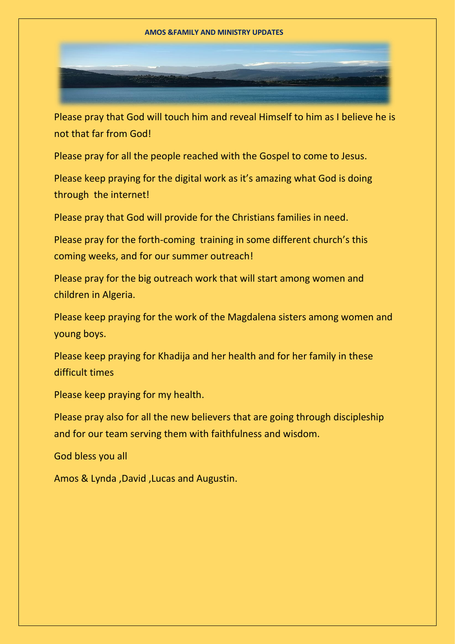## **AMOS &FAMILY AND MINISTRY UPDATES**

Please pray that God will touch him and reveal Himself to him as I believe he is not that far from God!

Please pray for all the people reached with the Gospel to come to Jesus.

Please keep praying for the digital work as it's amazing what God is doing through the internet!

Please pray that God will provide for the Christians families in need.

Please pray for the forth-coming training in some different church's this coming weeks, and for our summer outreach!

Please pray for the big outreach work that will start among women and children in Algeria.

Please keep praying for the work of the Magdalena sisters among women and young boys.

Please keep praying for Khadija and her health and for her family in these difficult times

Please keep praying for my health.

Please pray also for all the new believers that are going through discipleship and for our team serving them with faithfulness and wisdom.

God bless you all

Amos & Lynda ,David ,Lucas and Augustin.